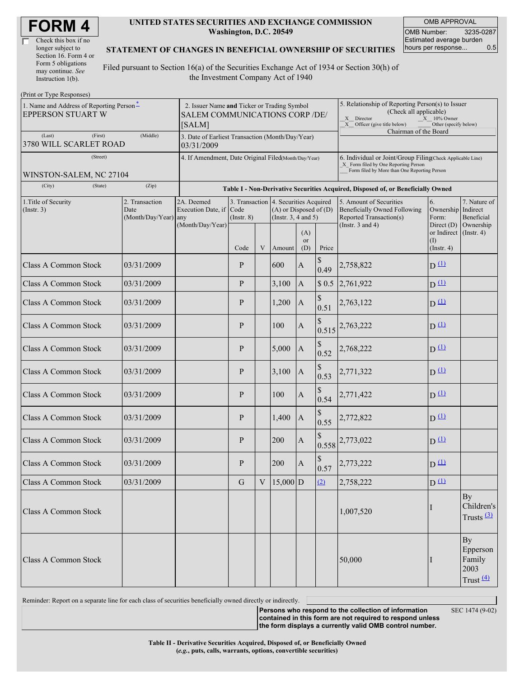| <b>FORM4</b> |
|--------------|
|--------------|

| Check this box if no  |  |
|-----------------------|--|
| longer subject to     |  |
| Section 16. Form 4 or |  |
| Form 5 obligations    |  |
| may continue. See     |  |
| Instruction 1(b).     |  |

#### **UNITED STATES SECURITIES AND EXCHANGE COMMISSION Washington, D.C. 20549**

OMB APPROVAL OMB Number: 3235-0287 Estimated average burden hours per response... 0.5

#### **STATEMENT OF CHANGES IN BENEFICIAL OWNERSHIP OF SECURITIES**

Filed pursuant to Section 16(a) of the Securities Exchange Act of 1934 or Section 30(h) of the Investment Company Act of 1940

| (Print or Type Responses)                                     |                                                                                         |                                                                                  |                 |         |                                                                                                 |                                                                                                                                                                       |             |                                                                                    |                                                      |                                                           |  |  |
|---------------------------------------------------------------|-----------------------------------------------------------------------------------------|----------------------------------------------------------------------------------|-----------------|---------|-------------------------------------------------------------------------------------------------|-----------------------------------------------------------------------------------------------------------------------------------------------------------------------|-------------|------------------------------------------------------------------------------------|------------------------------------------------------|-----------------------------------------------------------|--|--|
| 1. Name and Address of Reporting Person-<br>EPPERSON STUART W | 2. Issuer Name and Ticker or Trading Symbol<br>SALEM COMMUNICATIONS CORP /DE/<br>[SALM] |                                                                                  |                 |         |                                                                                                 | 5. Relationship of Reporting Person(s) to Issuer<br>(Check all applicable)<br>X Director<br>$X = 10\%$ Owner<br>X Officer (give title below)<br>Other (specify below) |             |                                                                                    |                                                      |                                                           |  |  |
| (Last)<br>(First)<br>3780 WILL SCARLET ROAD                   | 3. Date of Earliest Transaction (Month/Day/Year)<br>03/31/2009                          |                                                                                  |                 |         |                                                                                                 | Chairman of the Board                                                                                                                                                 |             |                                                                                    |                                                      |                                                           |  |  |
| (Street)<br>WINSTON-SALEM, NC 27104                           | 4. If Amendment, Date Original Filed(Month/Day/Year)                                    |                                                                                  |                 |         |                                                                                                 | 6. Individual or Joint/Group Filing(Check Applicable Line)<br>X Form filed by One Reporting Person<br>Form filed by More than One Reporting Person                    |             |                                                                                    |                                                      |                                                           |  |  |
| (City)<br>(State)                                             | (Zip)                                                                                   | Table I - Non-Derivative Securities Acquired, Disposed of, or Beneficially Owned |                 |         |                                                                                                 |                                                                                                                                                                       |             |                                                                                    |                                                      |                                                           |  |  |
| 1. Title of Security<br>(Insert. 3)                           | 2. Transaction<br>Date<br>(Month/Day/Year) any                                          | 2A. Deemed<br>Execution Date, if Code<br>(Month/Day/Year)                        | $($ Instr. $8)$ |         | 3. Transaction 4. Securities Acquired<br>$(A)$ or Disposed of $(D)$<br>(Instr. $3, 4$ and $5$ ) |                                                                                                                                                                       |             | 5. Amount of Securities<br>Beneficially Owned Following<br>Reported Transaction(s) | 6.<br>Ownership Indirect<br>Form:                    | 7. Nature of<br>Beneficial                                |  |  |
|                                                               |                                                                                         |                                                                                  | Code            | V       | Amount                                                                                          | (A)<br>or<br>(D)                                                                                                                                                      | Price       | (Instr. $3$ and $4$ )                                                              | Direct (D)<br>or Indirect<br>(I)<br>$($ Instr. 4 $)$ | Ownership<br>$($ Instr. 4 $)$                             |  |  |
| <b>Class A Common Stock</b>                                   | 03/31/2009                                                                              |                                                                                  | P               |         | 600                                                                                             | $\boldsymbol{\rm{A}}$                                                                                                                                                 | \$<br>0.49  | 2,758,822                                                                          | $D(\underline{u})$                                   |                                                           |  |  |
| <b>Class A Common Stock</b>                                   | 03/31/2009                                                                              |                                                                                  | P               |         | 3,100                                                                                           | $\mathbf A$                                                                                                                                                           | \$0.5       | 2,761,922                                                                          | $D^{\text{L}}$                                       |                                                           |  |  |
| <b>Class A Common Stock</b>                                   | 03/31/2009                                                                              |                                                                                  | P               |         | 1,200                                                                                           | $\boldsymbol{\rm{A}}$                                                                                                                                                 | 0.51        | 2,763,122                                                                          | $D^{\text{L}}$                                       |                                                           |  |  |
| <b>Class A Common Stock</b>                                   | 03/31/2009                                                                              |                                                                                  | P               |         | 100                                                                                             | $\mathbf A$                                                                                                                                                           | \$<br>0.515 | 2,763,222                                                                          | $D^{(1)}$                                            |                                                           |  |  |
| <b>Class A Common Stock</b>                                   | 03/31/2009                                                                              |                                                                                  | P               |         | 5,000                                                                                           | $\boldsymbol{A}$                                                                                                                                                      | \$<br>0.52  | 2,768,222                                                                          | $D^{\text{L}}$                                       |                                                           |  |  |
| <b>Class A Common Stock</b>                                   | 03/31/2009                                                                              |                                                                                  | P               |         | 3,100                                                                                           | $\mathbf A$                                                                                                                                                           | \$<br>0.53  | 2,771,322                                                                          | $D^{(1)}$                                            |                                                           |  |  |
| <b>Class A Common Stock</b>                                   | 03/31/2009                                                                              |                                                                                  | P               |         | 100                                                                                             | $\boldsymbol{\rm{A}}$                                                                                                                                                 | 0.54        | 2,771,422                                                                          | $D^{(1)}$                                            |                                                           |  |  |
| <b>Class A Common Stock</b>                                   | 03/31/2009                                                                              |                                                                                  | P               |         | 1,400                                                                                           | $\mathbf{A}$                                                                                                                                                          | 0.55        | 2,772,822                                                                          | D(1)                                                 |                                                           |  |  |
| <b>Class A Common Stock</b>                                   | 03/31/2009                                                                              |                                                                                  | P               |         | 200                                                                                             | $\boldsymbol{\rm{A}}$                                                                                                                                                 | 0.558       | 2,773,022                                                                          | $D^{(1)}$                                            |                                                           |  |  |
| <b>Class A Common Stock</b>                                   | 03/31/2009                                                                              |                                                                                  | P               |         | 200                                                                                             | $\mathbf A$                                                                                                                                                           | \$<br>0.57  | 2,773,222                                                                          | $D^{\text{L}}$                                       |                                                           |  |  |
| Class A Common Stock                                          | 03/31/2009                                                                              |                                                                                  | $\mathbf G$     | $\rm V$ | $15,000$ D                                                                                      |                                                                                                                                                                       | (2)         | 2,758,222                                                                          | D(1)                                                 |                                                           |  |  |
| Class A Common Stock                                          |                                                                                         |                                                                                  |                 |         |                                                                                                 |                                                                                                                                                                       |             | 1,007,520                                                                          | I                                                    | By<br>Children's<br>Trusts $\frac{(3)}{2}$                |  |  |
| Class A Common Stock                                          |                                                                                         |                                                                                  |                 |         |                                                                                                 |                                                                                                                                                                       |             | 50,000                                                                             | I                                                    | By<br>Epperson<br>Family<br>2003<br>Trust $\frac{(4)}{4}$ |  |  |

Reminder: Report on a separate line for each class of securities beneficially owned directly or indirectly.

**Persons who respond to the collection of information contained in this form are not required to respond unless the form displays a currently valid OMB control number.**

SEC 1474 (9-02)